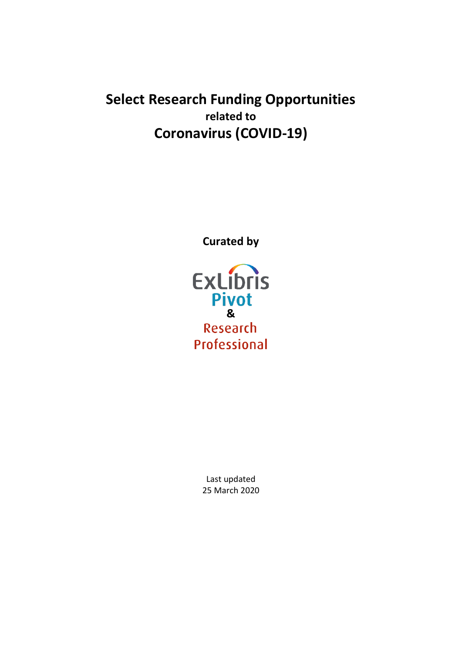# **Select Research Funding Opportunities related to Coronavirus (COVID-19)**

**Curated by**



Last updated 25 March 2020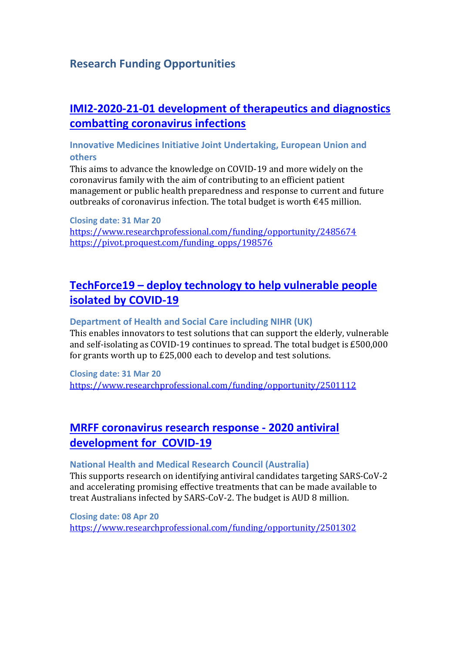### **Research Funding Opportunities**

## **[IMI2-2020-21-01 development of therapeutics and diagnostics](https://ec.europa.eu/info/funding-tenders/opportunities/portal/screen/opportunities/topic-details/imi2-2020-21-01;freeTextSearchKeyword=H2020-JTI-IMI2-2020-21-single-stage;typeCodes=0,1;statusCodes=31094501,31094502,31094503;programCode=null;programDivisionCode=null;focusAreaCode=null;crossCuttingPriorityCode=null;callCode=Default;sortQuery=openingDate;orderBy=asc;onlyTenders=false;topicListKey=topicSearchTablePageState)  [combatting coronavirus infections](https://ec.europa.eu/info/funding-tenders/opportunities/portal/screen/opportunities/topic-details/imi2-2020-21-01;freeTextSearchKeyword=H2020-JTI-IMI2-2020-21-single-stage;typeCodes=0,1;statusCodes=31094501,31094502,31094503;programCode=null;programDivisionCode=null;focusAreaCode=null;crossCuttingPriorityCode=null;callCode=Default;sortQuery=openingDate;orderBy=asc;onlyTenders=false;topicListKey=topicSearchTablePageState)**

### **Innovative Medicines Initiative Joint Undertaking, European Union and others**

This aims to advance the knowledge on COVID-19 and more widely on the coronavirus family with the aim of contributing to an efficient patient management or public health preparedness and response to current and future outbreaks of coronavirus infection. The total budget is worth €45 million.

**Closing date: 31 Mar 20** <https://www.researchprofessional.com/funding/opportunity/2485674> [https://pivot.proquest.com/funding\\_opps/198576](https://pivot.proquest.com/funding_opps/198576)

## **TechForce19 – [deploy technology to help vulnerable people](https://techforce19.uk/#About)  [isolated by COVID-19](https://techforce19.uk/#About)**

### **Department of Health and Social Care including NIHR (UK)**

This enables innovators to test solutions that can support the elderly, vulnerable and self-isolating as COVID-19 continues to spread. The total budget is £500,000 for grants worth up to £25,000 each to develop and test solutions.

**Closing date: 31 Mar 20** <https://www.researchprofessional.com/funding/opportunity/2501112>

## **[MRFF coronavirus research response -](https://nhmrc.gov.au/funding/find-funding/mrff-coronavirus-research-response-2020-antiviral-development-covid-19-grant-opportunity) 2020 antiviral [development for COVID-19](https://nhmrc.gov.au/funding/find-funding/mrff-coronavirus-research-response-2020-antiviral-development-covid-19-grant-opportunity)**

### **National Health and Medical Research Council (Australia)**

This supports research on identifying antiviral candidates targeting SARS-CoV-2 and accelerating promising effective treatments that can be made available to treat Australians infected by SARS-CoV-2. The budget is AUD 8 million.

**Closing date: 08 Apr 20** <https://www.researchprofessional.com/funding/opportunity/2501302>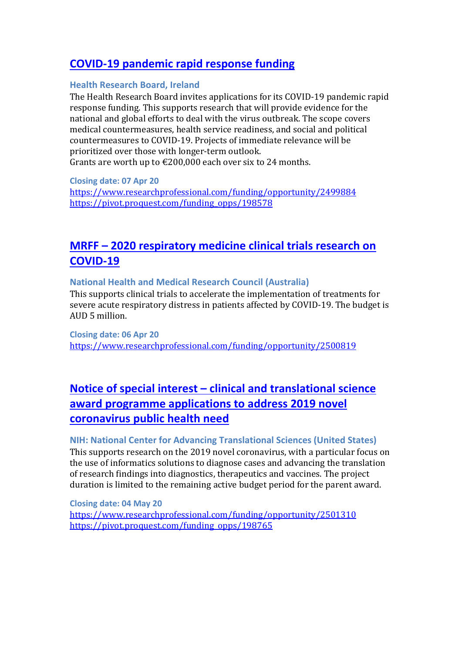## **[COVID-19 pandemic rapid response funding](https://www.hrb.ie/funding/funding-schemes/all-funding-schemes/grant/pre-call-announcement-covid-19-pandemic-rapid-response-funding-cov19-2020/)**

#### **Health Research Board, Ireland**

The Health Research Board invites applications for its COVID-19 pandemic rapid response funding. This supports research that will provide evidence for the national and global efforts to deal with the virus outbreak. The scope covers medical countermeasures, health service readiness, and social and political countermeasures to COVID-19. Projects of imm[edia](https://pivot.proquest.com/funding_opps/198578)te relevance will be prioritized over those with longer-term outlook. Grants are worth up to  $\epsilon$ 200,000 each over six to 24 months.

**Closing date: 07 Apr 20** <https://www.researchprofessional.com/funding/opportunity/2499884> [https://pivot.proquest.com/funding\\_opps/198578](https://pivot.proquest.com/funding_opps/198578)

## **MRFF – [2020 respiratory medicine clinical trials research on](https://www.grants.gov.au/?event=public.GO.show&GOUUID=341E3C7A-9516-311D-915D5D11DFB9AAB4&keyword=go3817)  [COVID-19](https://www.grants.gov.au/?event=public.GO.show&GOUUID=341E3C7A-9516-311D-915D5D11DFB9AAB4&keyword=go3817)**

### **National Health and Medical Research Council (Australia)**

This supports clinical trials to accelerate the implementation of treatments for severe acute respiratory distress in patients affected by COVID-19. The budget is AUD 5 million.

**Closing date: 06 Apr 20** <https://www.researchprofessional.com/funding/opportunity/2500819>

## **Notice of special interest – [clinical and translational science](https://grants.nih.gov/grants/guide/notice-files/NOT-TR-20-011.html)  [award programme applications to address 2019 novel](https://grants.nih.gov/grants/guide/notice-files/NOT-TR-20-011.html)  [coronavirus public health need](https://grants.nih.gov/grants/guide/notice-files/NOT-TR-20-011.html)**

### **NIH: National Center for Advancing Translational Sciences (United States)**

This supports research on the 2019 novel coronavirus, with a particular focus on the use of informatics solutions to diagnose cases and advancing the translation of research findings into diagnostics, therapeutics and vaccines. The project duration is limited to the remaining active budget period for the parent award.

**Closing date: 04 May 20** <https://www.researchprofessional.com/funding/opportunity/2501310> [https://pivot.proquest.com/funding\\_opps/198765](https://pivot.proquest.com/funding_opps/198765)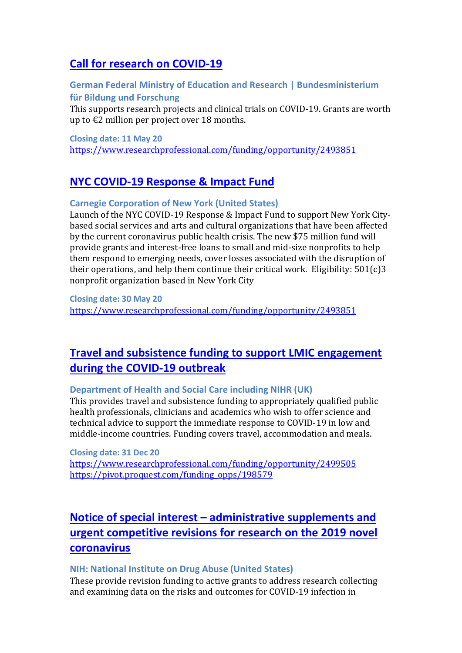## **[Call for research on COVID-19](https://www.bmbf.de/foerderungen/bekanntmachung-2865.html)**

### **German Federal Ministry of Education and Research | Bundesministerium für Bildung und Forschung**

This supports research projects and clinical trials on COVID-19. Grants are worth up to €2 million per project over 18 months.

**Closing date: 11 May 20**

<https://www.researchprofessional.com/funding/opportunity/2493851>

### **[NYC COVID-19 Response & Impact Fund](https://www.carnegie.org/news/articles/nyv-covid-19-response-impact-fund-launched-support-new-york-city-nonprofit-organizations/?utm_source=Carnegie+Corporation+of+New+York&utm_campaign=d827b48162-CCNY_Email_VG_Response_03_21_2020&utm_medium=email&utm_ter)**

### **Carnegie Corporation of New York (United States)**

Launch of the NYC COVID-19 Response & Impact Fund to support New York Citybased social services and arts and cultural organizations that have been affected by the current coronavirus public health crisis. The new \$75 million fund will provide grants and interest-free loans to small and mid-size nonprofits to help them respond to emerging needs, cover losses associated with the disruption of their operations, and help them continue their critical work. Eligibility: 501(c)3 nonprofit organization based in New York City

**Closing date: 30 May 20** <https://www.researchprofessional.com/funding/opportunity/2493851>

## **[Travel and subsistence funding to support LMIC engagement](https://www.nihr.ac.uk/funding/travel-and-subsistence-funding-to-support-lmic-engagement-during-the-covid-19-outbreak/24407)  [during the COVID-19 outbreak](https://www.nihr.ac.uk/funding/travel-and-subsistence-funding-to-support-lmic-engagement-during-the-covid-19-outbreak/24407)**

### **Department of Health and Social Care including NIHR (UK)**

This provides travel and subsistence funding to appropriately qualified public health professionals, clinicians and academics who wish to offer science and technical advice to support the immediate response to COVID-19 in low and middle-income countries. Funding covers travel, accommodation and meals.

**Closing date: 31 Dec 20** <https://www.researchprofessional.com/funding/opportunity/2499505> [https://pivot.proquest.com/funding\\_opps/198579](https://pivot.proquest.com/funding_opps/198579)

## **Notice of special interest – [administrative supplements and](https://grants.nih.gov/grants/guide/notice-files/NOT-DA-20-047.html)  [urgent competitive revisions for research on the 2019 novel](https://grants.nih.gov/grants/guide/notice-files/NOT-DA-20-047.html)  [coronavirus](https://grants.nih.gov/grants/guide/notice-files/NOT-DA-20-047.html)**

### **NIH: National Institute on Drug Abuse (United States)**

These provide revision funding to active grants to address research collecting and examining data on the risks and outcomes for COVID-19 infection in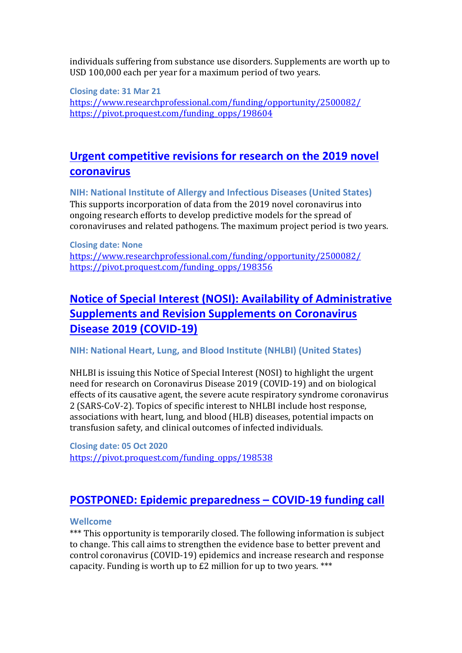individuals suffering from substance use disorders. Supplements are worth up to USD 100,000 each per year for a maximum period of two years.

**Closing date: 31 Mar 21** <https://www.researchprofessional.com/funding/opportunity/2500082/> [https://pivot.proquest.com/funding\\_opps/198604](https://pivot.proquest.com/funding_opps/198604)

## **[Urgent competitive revisions for research on the 2019 novel](https://grants.nih.gov/grants/guide/notice-files/NOT-AI-20-030.html)  [coronavirus](https://grants.nih.gov/grants/guide/notice-files/NOT-AI-20-030.html)**

**NIH: National Institute of Allergy and Infectious Diseases (United States)** This supports incorporation of data from the 2019 novel coronavirus into ongoing research efforts to develop predictive models for the spread of coronaviruses and related pathogens. The maximum project period is two years.

**Closing date: None** <https://www.researchprofessional.com/funding/opportunity/2500082/> https://pivot.proquest.com/funding\_opps/198356

## **[Notice of Special Interest \(NOSI\): Availability of Administrative](https://grants.nih.gov/grants/guide/notice-files/NOT-HL-20-757.html)  [Supplements and Revision Supplements on Coronavirus](https://grants.nih.gov/grants/guide/notice-files/NOT-HL-20-757.html)  [Disease 2019 \(COVID-19\)](https://grants.nih.gov/grants/guide/notice-files/NOT-HL-20-757.html)**

**NIH: National Heart, Lung, and Blood Institute (NHLBI) (United States)**

NHLBI is issuing this Notice of Special Interest (NOSI) to highlight the urgent need for research on Coronavirus Disease 2019 (COVID-19) and on biological effects of its causative agent, the severe acute respiratory syndrome coronavirus 2 (SARS-CoV-2). Topics of specific interest to NHLBI include host response, associations with heart, lung, and blood (HLB) diseases, potential impacts on transfusion safety, and clinical outcomes of infected individuals.

**Closing date: 05 Oct 2020** [https://pivot.proquest.com/funding\\_opps/198538](https://pivot.proquest.com/funding_opps/198538)

### **[POSTPONED: Epidemic preparedness –](https://wellcome.ac.uk/funding/schemes/epidemic-preparedness-covid-19) COVID-19 funding call**

### **Wellcome**

\*\*\* This opportunity is temporarily closed. The following information is subject to change. This call aims to strengthen the evidence base to better prevent and control coronavirus (COVID-19) epidemics and increase research and response capacity. Funding is worth up to  $E2$  million for up to two years. \*\*\*